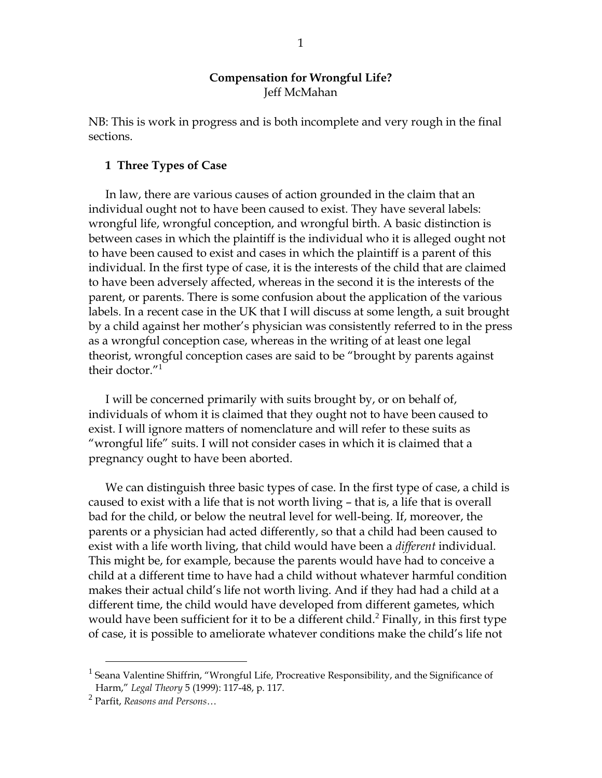## **Compensation for Wrongful Life?** Jeff McMahan

NB: This is work in progress and is both incomplete and very rough in the final sections.

## **1 Three Types of Case**

In law, there are various causes of action grounded in the claim that an individual ought not to have been caused to exist. They have several labels: wrongful life, wrongful conception, and wrongful birth. A basic distinction is between cases in which the plaintiff is the individual who it is alleged ought not to have been caused to exist and cases in which the plaintiff is a parent of this individual. In the first type of case, it is the interests of the child that are claimed to have been adversely affected, whereas in the second it is the interests of the parent, or parents. There is some confusion about the application of the various labels. In a recent case in the UK that I will discuss at some length, a suit brought by a child against her mother's physician was consistently referred to in the press as a wrongful conception case, whereas in the writing of at least one legal theorist, wrongful conception cases are said to be "brought by parents against their doctor."<sup>1</sup>

I will be concerned primarily with suits brought by, or on behalf of, individuals of whom it is claimed that they ought not to have been caused to exist. I will ignore matters of nomenclature and will refer to these suits as "wrongful life" suits. I will not consider cases in which it is claimed that a pregnancy ought to have been aborted.

We can distinguish three basic types of case. In the first type of case, a child is caused to exist with a life that is not worth living – that is, a life that is overall bad for the child, or below the neutral level for well-being. If, moreover, the parents or a physician had acted differently, so that a child had been caused to exist with a life worth living, that child would have been a *different* individual. This might be, for example, because the parents would have had to conceive a child at a different time to have had a child without whatever harmful condition makes their actual child's life not worth living. And if they had had a child at a different time, the child would have developed from different gametes, which would have been sufficient for it to be a different child.<sup>2</sup> Finally, in this first type of case, it is possible to ameliorate whatever conditions make the child's life not

<sup>&</sup>lt;sup>1</sup> Seana Valentine Shiffrin, "Wrongful Life, Procreative Responsibility, and the Significance of Harm," *Legal Theory* 5 (1999): 117-48, p. 117.

<sup>2</sup> Parfit, *Reasons and Persons*…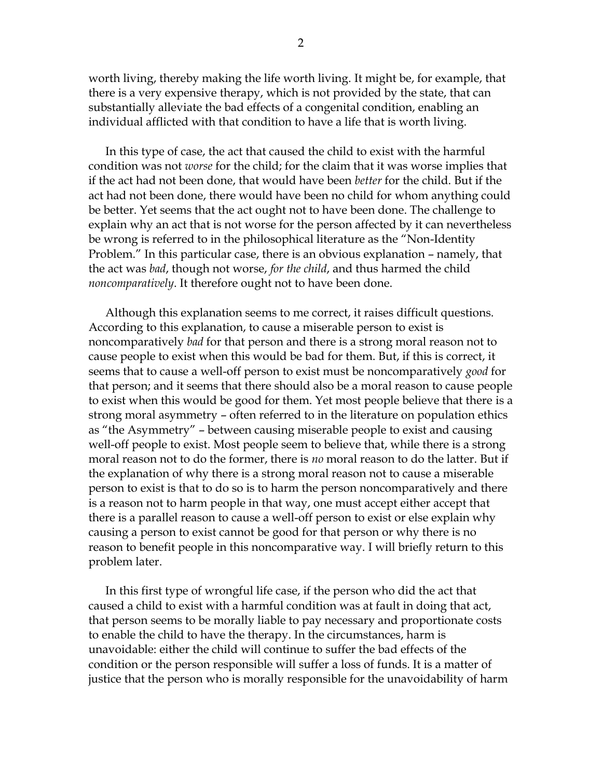worth living, thereby making the life worth living. It might be, for example, that there is a very expensive therapy, which is not provided by the state, that can substantially alleviate the bad effects of a congenital condition, enabling an individual afflicted with that condition to have a life that is worth living.

In this type of case, the act that caused the child to exist with the harmful condition was not *worse* for the child; for the claim that it was worse implies that if the act had not been done, that would have been *better* for the child. But if the act had not been done, there would have been no child for whom anything could be better. Yet seems that the act ought not to have been done. The challenge to explain why an act that is not worse for the person affected by it can nevertheless be wrong is referred to in the philosophical literature as the "Non-Identity Problem." In this particular case, there is an obvious explanation – namely, that the act was *bad*, though not worse, *for the child*, and thus harmed the child *noncomparatively*. It therefore ought not to have been done.

Although this explanation seems to me correct, it raises difficult questions. According to this explanation, to cause a miserable person to exist is noncomparatively *bad* for that person and there is a strong moral reason not to cause people to exist when this would be bad for them. But, if this is correct, it seems that to cause a well-off person to exist must be noncomparatively *good* for that person; and it seems that there should also be a moral reason to cause people to exist when this would be good for them. Yet most people believe that there is a strong moral asymmetry – often referred to in the literature on population ethics as "the Asymmetry" – between causing miserable people to exist and causing well-off people to exist. Most people seem to believe that, while there is a strong moral reason not to do the former, there is *no* moral reason to do the latter. But if the explanation of why there is a strong moral reason not to cause a miserable person to exist is that to do so is to harm the person noncomparatively and there is a reason not to harm people in that way, one must accept either accept that there is a parallel reason to cause a well-off person to exist or else explain why causing a person to exist cannot be good for that person or why there is no reason to benefit people in this noncomparative way. I will briefly return to this problem later.

In this first type of wrongful life case, if the person who did the act that caused a child to exist with a harmful condition was at fault in doing that act, that person seems to be morally liable to pay necessary and proportionate costs to enable the child to have the therapy. In the circumstances, harm is unavoidable: either the child will continue to suffer the bad effects of the condition or the person responsible will suffer a loss of funds. It is a matter of justice that the person who is morally responsible for the unavoidability of harm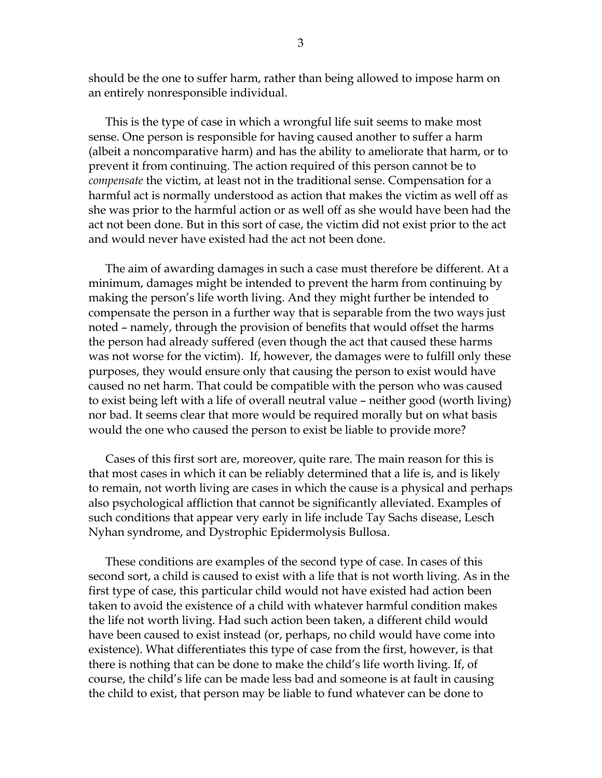should be the one to suffer harm, rather than being allowed to impose harm on an entirely nonresponsible individual.

This is the type of case in which a wrongful life suit seems to make most sense. One person is responsible for having caused another to suffer a harm (albeit a noncomparative harm) and has the ability to ameliorate that harm, or to prevent it from continuing. The action required of this person cannot be to *compensate* the victim, at least not in the traditional sense. Compensation for a harmful act is normally understood as action that makes the victim as well off as she was prior to the harmful action or as well off as she would have been had the act not been done. But in this sort of case, the victim did not exist prior to the act and would never have existed had the act not been done.

The aim of awarding damages in such a case must therefore be different. At a minimum, damages might be intended to prevent the harm from continuing by making the person's life worth living. And they might further be intended to compensate the person in a further way that is separable from the two ways just noted – namely, through the provision of benefits that would offset the harms the person had already suffered (even though the act that caused these harms was not worse for the victim). If, however, the damages were to fulfill only these purposes, they would ensure only that causing the person to exist would have caused no net harm. That could be compatible with the person who was caused to exist being left with a life of overall neutral value – neither good (worth living) nor bad. It seems clear that more would be required morally but on what basis would the one who caused the person to exist be liable to provide more?

Cases of this first sort are, moreover, quite rare. The main reason for this is that most cases in which it can be reliably determined that a life is, and is likely to remain, not worth living are cases in which the cause is a physical and perhaps also psychological affliction that cannot be significantly alleviated. Examples of such conditions that appear very early in life include Tay Sachs disease, Lesch Nyhan syndrome, and Dystrophic Epidermolysis Bullosa.

These conditions are examples of the second type of case. In cases of this second sort, a child is caused to exist with a life that is not worth living. As in the first type of case, this particular child would not have existed had action been taken to avoid the existence of a child with whatever harmful condition makes the life not worth living. Had such action been taken, a different child would have been caused to exist instead (or, perhaps, no child would have come into existence). What differentiates this type of case from the first, however, is that there is nothing that can be done to make the child's life worth living. If, of course, the child's life can be made less bad and someone is at fault in causing the child to exist, that person may be liable to fund whatever can be done to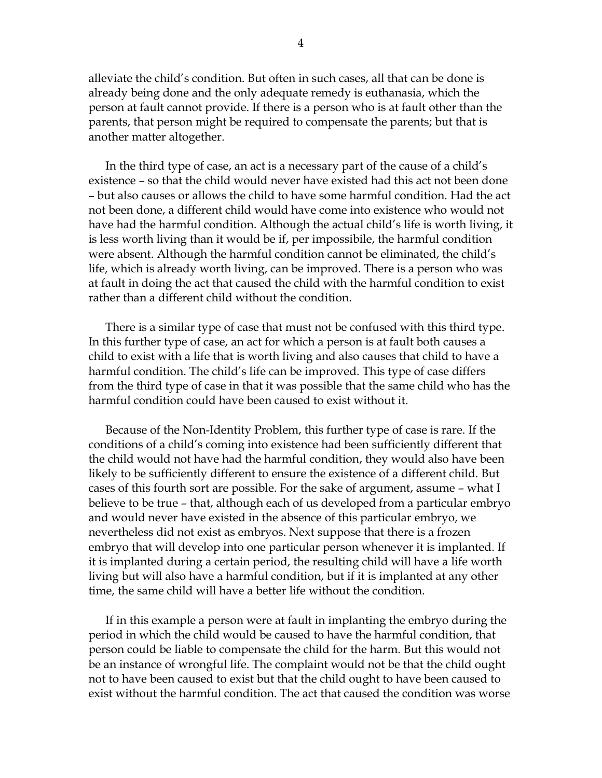alleviate the child's condition. But often in such cases, all that can be done is already being done and the only adequate remedy is euthanasia, which the person at fault cannot provide. If there is a person who is at fault other than the parents, that person might be required to compensate the parents; but that is another matter altogether.

In the third type of case, an act is a necessary part of the cause of a child's existence – so that the child would never have existed had this act not been done – but also causes or allows the child to have some harmful condition. Had the act not been done, a different child would have come into existence who would not have had the harmful condition. Although the actual child's life is worth living, it is less worth living than it would be if, per impossibile, the harmful condition were absent. Although the harmful condition cannot be eliminated, the child's life, which is already worth living, can be improved. There is a person who was at fault in doing the act that caused the child with the harmful condition to exist rather than a different child without the condition.

There is a similar type of case that must not be confused with this third type. In this further type of case, an act for which a person is at fault both causes a child to exist with a life that is worth living and also causes that child to have a harmful condition. The child's life can be improved. This type of case differs from the third type of case in that it was possible that the same child who has the harmful condition could have been caused to exist without it.

Because of the Non-Identity Problem, this further type of case is rare. If the conditions of a child's coming into existence had been sufficiently different that the child would not have had the harmful condition, they would also have been likely to be sufficiently different to ensure the existence of a different child. But cases of this fourth sort are possible. For the sake of argument, assume – what I believe to be true – that, although each of us developed from a particular embryo and would never have existed in the absence of this particular embryo, we nevertheless did not exist as embryos. Next suppose that there is a frozen embryo that will develop into one particular person whenever it is implanted. If it is implanted during a certain period, the resulting child will have a life worth living but will also have a harmful condition, but if it is implanted at any other time, the same child will have a better life without the condition.

If in this example a person were at fault in implanting the embryo during the period in which the child would be caused to have the harmful condition, that person could be liable to compensate the child for the harm. But this would not be an instance of wrongful life. The complaint would not be that the child ought not to have been caused to exist but that the child ought to have been caused to exist without the harmful condition. The act that caused the condition was worse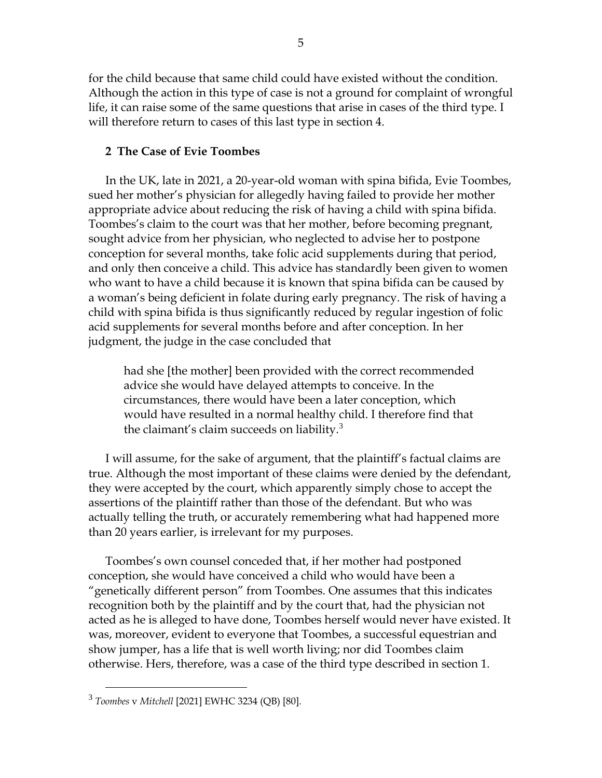for the child because that same child could have existed without the condition. Although the action in this type of case is not a ground for complaint of wrongful life, it can raise some of the same questions that arise in cases of the third type. I will therefore return to cases of this last type in section 4.

# **2 The Case of Evie Toombes**

In the UK, late in 2021, a 20-year-old woman with spina bifida, Evie Toombes, sued her mother's physician for allegedly having failed to provide her mother appropriate advice about reducing the risk of having a child with spina bifida. Toombes's claim to the court was that her mother, before becoming pregnant, sought advice from her physician, who neglected to advise her to postpone conception for several months, take folic acid supplements during that period, and only then conceive a child. This advice has standardly been given to women who want to have a child because it is known that spina bifida can be caused by a woman's being deficient in folate during early pregnancy. The risk of having a child with spina bifida is thus significantly reduced by regular ingestion of folic acid supplements for several months before and after conception. In her judgment, the judge in the case concluded that

had she [the mother] been provided with the correct recommended advice she would have delayed attempts to conceive. In the circumstances, there would have been a later conception, which would have resulted in a normal healthy child. I therefore find that the claimant's claim succeeds on liability. $3$ 

I will assume, for the sake of argument, that the plaintiff's factual claims are true. Although the most important of these claims were denied by the defendant, they were accepted by the court, which apparently simply chose to accept the assertions of the plaintiff rather than those of the defendant. But who was actually telling the truth, or accurately remembering what had happened more than 20 years earlier, is irrelevant for my purposes.

Toombes's own counsel conceded that, if her mother had postponed conception, she would have conceived a child who would have been a "genetically different person" from Toombes. One assumes that this indicates recognition both by the plaintiff and by the court that, had the physician not acted as he is alleged to have done, Toombes herself would never have existed. It was, moreover, evident to everyone that Toombes, a successful equestrian and show jumper, has a life that is well worth living; nor did Toombes claim otherwise. Hers, therefore, was a case of the third type described in section 1.

<sup>3</sup> *Toombes* v *Mitchell* [2021] EWHC 3234 (QB) [80].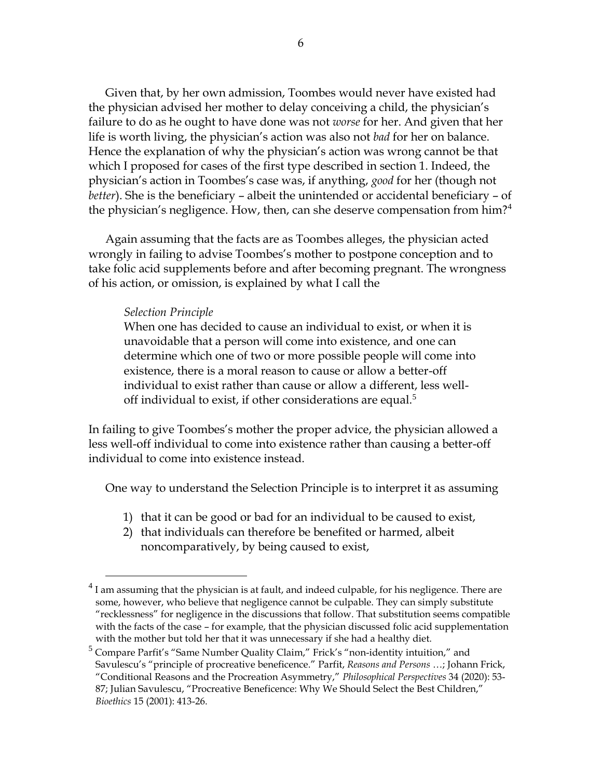Given that, by her own admission, Toombes would never have existed had the physician advised her mother to delay conceiving a child, the physician's failure to do as he ought to have done was not *worse* for her. And given that her life is worth living, the physician's action was also not *bad* for her on balance. Hence the explanation of why the physician's action was wrong cannot be that which I proposed for cases of the first type described in section 1. Indeed, the physician's action in Toombes's case was, if anything, *good* for her (though not *better*). She is the beneficiary – albeit the unintended or accidental beneficiary – of the physician's negligence. How, then, can she deserve compensation from him?<sup>4</sup>

Again assuming that the facts are as Toombes alleges, the physician acted wrongly in failing to advise Toombes's mother to postpone conception and to take folic acid supplements before and after becoming pregnant. The wrongness of his action, or omission, is explained by what I call the

## *Selection Principle*

 $\overline{a}$ 

When one has decided to cause an individual to exist, or when it is unavoidable that a person will come into existence, and one can determine which one of two or more possible people will come into existence, there is a moral reason to cause or allow a better-off individual to exist rather than cause or allow a different, less welloff individual to exist, if other considerations are equal.<sup>5</sup>

In failing to give Toombes's mother the proper advice, the physician allowed a less well-off individual to come into existence rather than causing a better-off individual to come into existence instead.

One way to understand the Selection Principle is to interpret it as assuming

- 1) that it can be good or bad for an individual to be caused to exist,
- 2) that individuals can therefore be benefited or harmed, albeit noncomparatively, by being caused to exist,

 $^{4}$  I am assuming that the physician is at fault, and indeed culpable, for his negligence. There are some, however, who believe that negligence cannot be culpable. They can simply substitute "recklessness" for negligence in the discussions that follow. That substitution seems compatible with the facts of the case – for example, that the physician discussed folic acid supplementation with the mother but told her that it was unnecessary if she had a healthy diet.

<sup>5</sup> Compare Parfit's "Same Number Quality Claim," Frick's "non-identity intuition," and Savulescu's "principle of procreative beneficence." Parfit, *Reasons and Persons* …; Johann Frick, "Conditional Reasons and the Procreation Asymmetry," *Philosophical Perspectives* 34 (2020): 53- 87; Julian Savulescu, "Procreative Beneficence: Why We Should Select the Best Children," *Bioethics* 15 (2001): 413-26.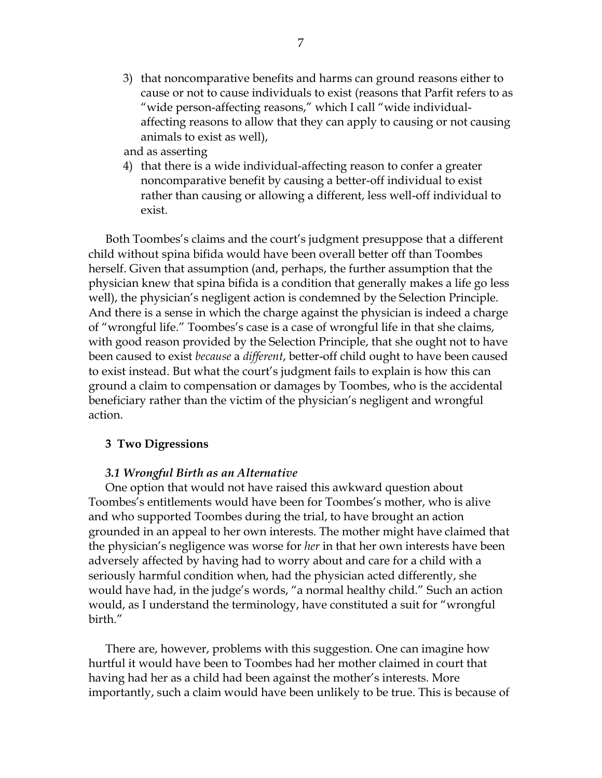3) that noncomparative benefits and harms can ground reasons either to cause or not to cause individuals to exist (reasons that Parfit refers to as "wide person-affecting reasons," which I call "wide individualaffecting reasons to allow that they can apply to causing or not causing animals to exist as well),

and as asserting

4) that there is a wide individual-affecting reason to confer a greater noncomparative benefit by causing a better-off individual to exist rather than causing or allowing a different, less well-off individual to exist.

Both Toombes's claims and the court's judgment presuppose that a different child without spina bifida would have been overall better off than Toombes herself. Given that assumption (and, perhaps, the further assumption that the physician knew that spina bifida is a condition that generally makes a life go less well), the physician's negligent action is condemned by the Selection Principle. And there is a sense in which the charge against the physician is indeed a charge of "wrongful life." Toombes's case is a case of wrongful life in that she claims, with good reason provided by the Selection Principle, that she ought not to have been caused to exist *because* a *different*, better-off child ought to have been caused to exist instead. But what the court's judgment fails to explain is how this can ground a claim to compensation or damages by Toombes, who is the accidental beneficiary rather than the victim of the physician's negligent and wrongful action.

### **3 Two Digressions**

### *3.1 Wrongful Birth as an Alternative*

One option that would not have raised this awkward question about Toombes's entitlements would have been for Toombes's mother, who is alive and who supported Toombes during the trial, to have brought an action grounded in an appeal to her own interests. The mother might have claimed that the physician's negligence was worse for *her* in that her own interests have been adversely affected by having had to worry about and care for a child with a seriously harmful condition when, had the physician acted differently, she would have had, in the judge's words, "a normal healthy child." Such an action would, as I understand the terminology, have constituted a suit for "wrongful birth."

There are, however, problems with this suggestion. One can imagine how hurtful it would have been to Toombes had her mother claimed in court that having had her as a child had been against the mother's interests. More importantly, such a claim would have been unlikely to be true. This is because of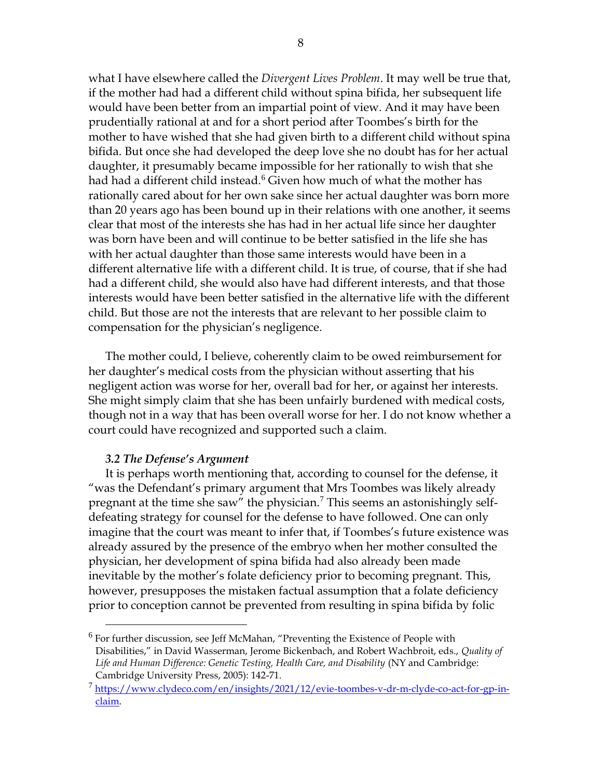what I have elsewhere called the *Divergent Lives Problem*. It may well be true that, if the mother had had a different child without spina bifida, her subsequent life would have been better from an impartial point of view. And it may have been prudentially rational at and for a short period after Toombes's birth for the mother to have wished that she had given birth to a different child without spina bifida. But once she had developed the deep love she no doubt has for her actual daughter, it presumably became impossible for her rationally to wish that she had had a different child instead.<sup>6</sup> Given how much of what the mother has rationally cared about for her own sake since her actual daughter was born more than 20 years ago has been bound up in their relations with one another, it seems clear that most of the interests she has had in her actual life since her daughter was born have been and will continue to be better satisfied in the life she has with her actual daughter than those same interests would have been in a different alternative life with a different child. It is true, of course, that if she had had a different child, she would also have had different interests, and that those interests would have been better satisfied in the alternative life with the different child. But those are not the interests that are relevant to her possible claim to compensation for the physician's negligence.

The mother could, I believe, coherently claim to be owed reimbursement for her daughter's medical costs from the physician without asserting that his negligent action was worse for her, overall bad for her, or against her interests. She might simply claim that she has been unfairly burdened with medical costs, though not in a way that has been overall worse for her. I do not know whether a court could have recognized and supported such a claim.

### *3.2 The Defense's Argument*

 $\overline{a}$ 

It is perhaps worth mentioning that, according to counsel for the defense, it "was the Defendant's primary argument that Mrs Toombes was likely already pregnant at the time she saw" the physician.<sup>7</sup> This seems an astonishingly selfdefeating strategy for counsel for the defense to have followed. One can only imagine that the court was meant to infer that, if Toombes's future existence was already assured by the presence of the embryo when her mother consulted the physician, her development of spina bifida had also already been made inevitable by the mother's folate deficiency prior to becoming pregnant. This, however, presupposes the mistaken factual assumption that a folate deficiency prior to conception cannot be prevented from resulting in spina bifida by folic

<sup>&</sup>lt;sup>6</sup> For further discussion, see Jeff McMahan, "Preventing the Existence of People with Disabilities," in David Wasserman, Jerome Bickenbach, and Robert Wachbroit, eds., *Quality of Life and Human Difference: Genetic Testing, Health Care, and Disability* (NY and Cambridge: Cambridge University Press, 2005): 142-71.

<sup>&</sup>lt;sup>7</sup> [https://www.clydeco.com/en/insights/2021/12/evie-toombes-v-dr-m-clyde-co-act-for-gp-in](https://www.clydeco.com/en/insights/2021/12/evie-toombes-v-dr-m-clyde-co-act-for-gp-in-claim)[claim.](https://www.clydeco.com/en/insights/2021/12/evie-toombes-v-dr-m-clyde-co-act-for-gp-in-claim)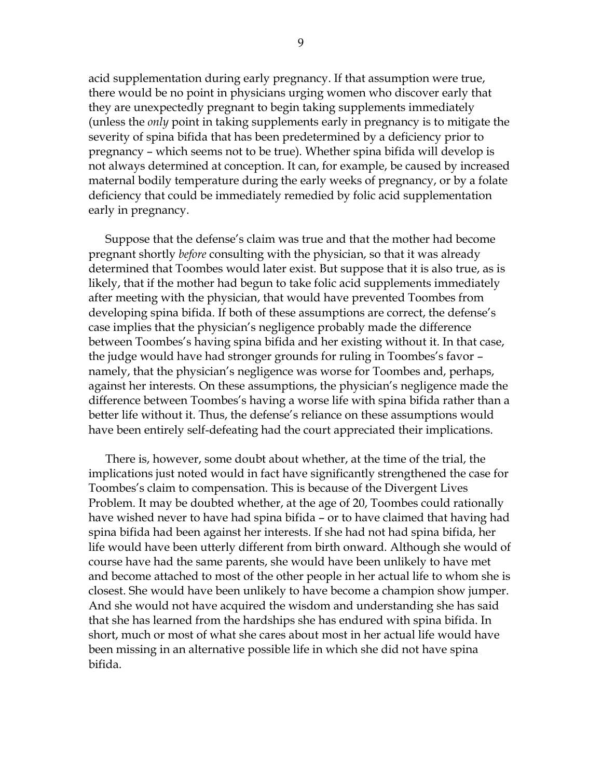acid supplementation during early pregnancy. If that assumption were true, there would be no point in physicians urging women who discover early that they are unexpectedly pregnant to begin taking supplements immediately (unless the *only* point in taking supplements early in pregnancy is to mitigate the severity of spina bifida that has been predetermined by a deficiency prior to pregnancy – which seems not to be true). Whether spina bifida will develop is not always determined at conception. It can, for example, be caused by increased maternal bodily temperature during the early weeks of pregnancy, or by a folate deficiency that could be immediately remedied by folic acid supplementation early in pregnancy.

Suppose that the defense's claim was true and that the mother had become pregnant shortly *before* consulting with the physician, so that it was already determined that Toombes would later exist. But suppose that it is also true, as is likely, that if the mother had begun to take folic acid supplements immediately after meeting with the physician, that would have prevented Toombes from developing spina bifida. If both of these assumptions are correct, the defense's case implies that the physician's negligence probably made the difference between Toombes's having spina bifida and her existing without it. In that case, the judge would have had stronger grounds for ruling in Toombes's favor – namely, that the physician's negligence was worse for Toombes and, perhaps, against her interests. On these assumptions, the physician's negligence made the difference between Toombes's having a worse life with spina bifida rather than a better life without it. Thus, the defense's reliance on these assumptions would have been entirely self-defeating had the court appreciated their implications.

There is, however, some doubt about whether, at the time of the trial, the implications just noted would in fact have significantly strengthened the case for Toombes's claim to compensation. This is because of the Divergent Lives Problem. It may be doubted whether, at the age of 20, Toombes could rationally have wished never to have had spina bifida – or to have claimed that having had spina bifida had been against her interests. If she had not had spina bifida, her life would have been utterly different from birth onward. Although she would of course have had the same parents, she would have been unlikely to have met and become attached to most of the other people in her actual life to whom she is closest. She would have been unlikely to have become a champion show jumper. And she would not have acquired the wisdom and understanding she has said that she has learned from the hardships she has endured with spina bifida. In short, much or most of what she cares about most in her actual life would have been missing in an alternative possible life in which she did not have spina bifida.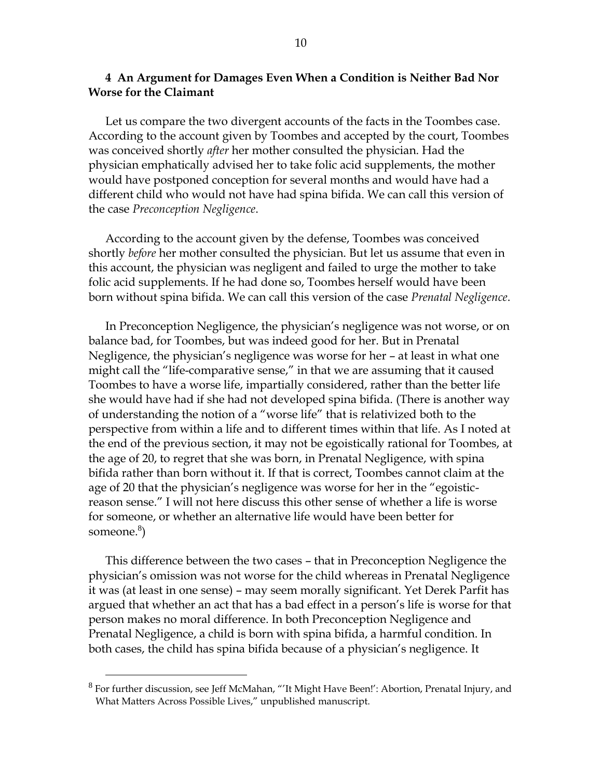## **4 An Argument for Damages Even When a Condition is Neither Bad Nor Worse for the Claimant**

Let us compare the two divergent accounts of the facts in the Toombes case. According to the account given by Toombes and accepted by the court, Toombes was conceived shortly *after* her mother consulted the physician. Had the physician emphatically advised her to take folic acid supplements, the mother would have postponed conception for several months and would have had a different child who would not have had spina bifida. We can call this version of the case *Preconception Negligence*.

According to the account given by the defense, Toombes was conceived shortly *before* her mother consulted the physician. But let us assume that even in this account, the physician was negligent and failed to urge the mother to take folic acid supplements. If he had done so, Toombes herself would have been born without spina bifida. We can call this version of the case *Prenatal Negligence*.

In Preconception Negligence, the physician's negligence was not worse, or on balance bad, for Toombes, but was indeed good for her. But in Prenatal Negligence, the physician's negligence was worse for her – at least in what one might call the "life-comparative sense," in that we are assuming that it caused Toombes to have a worse life, impartially considered, rather than the better life she would have had if she had not developed spina bifida. (There is another way of understanding the notion of a "worse life" that is relativized both to the perspective from within a life and to different times within that life. As I noted at the end of the previous section, it may not be egoistically rational for Toombes, at the age of 20, to regret that she was born, in Prenatal Negligence, with spina bifida rather than born without it. If that is correct, Toombes cannot claim at the age of 20 that the physician's negligence was worse for her in the "egoisticreason sense." I will not here discuss this other sense of whether a life is worse for someone, or whether an alternative life would have been better for someone.<sup>8</sup>)

This difference between the two cases – that in Preconception Negligence the physician's omission was not worse for the child whereas in Prenatal Negligence it was (at least in one sense) – may seem morally significant. Yet Derek Parfit has argued that whether an act that has a bad effect in a person's life is worse for that person makes no moral difference. In both Preconception Negligence and Prenatal Negligence, a child is born with spina bifida, a harmful condition. In both cases, the child has spina bifida because of a physician's negligence. It

 $8$  For further discussion, see Jeff McMahan, "'It Might Have Been!': Abortion, Prenatal Injury, and What Matters Across Possible Lives," unpublished manuscript.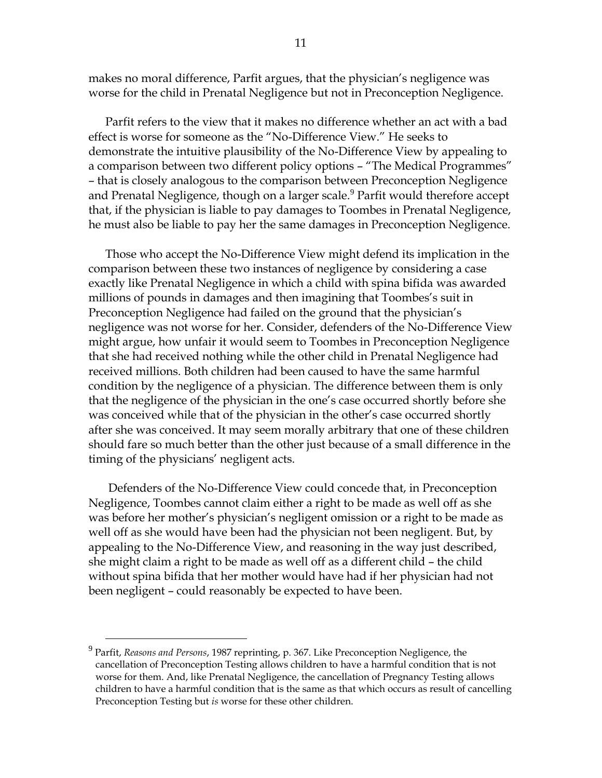makes no moral difference, Parfit argues, that the physician's negligence was worse for the child in Prenatal Negligence but not in Preconception Negligence.

Parfit refers to the view that it makes no difference whether an act with a bad effect is worse for someone as the "No-Difference View." He seeks to demonstrate the intuitive plausibility of the No-Difference View by appealing to a comparison between two different policy options – "The Medical Programmes" – that is closely analogous to the comparison between Preconception Negligence and Prenatal Negligence, though on a larger scale.<sup>9</sup> Parfit would therefore accept that, if the physician is liable to pay damages to Toombes in Prenatal Negligence, he must also be liable to pay her the same damages in Preconception Negligence.

Those who accept the No-Difference View might defend its implication in the comparison between these two instances of negligence by considering a case exactly like Prenatal Negligence in which a child with spina bifida was awarded millions of pounds in damages and then imagining that Toombes's suit in Preconception Negligence had failed on the ground that the physician's negligence was not worse for her. Consider, defenders of the No-Difference View might argue, how unfair it would seem to Toombes in Preconception Negligence that she had received nothing while the other child in Prenatal Negligence had received millions. Both children had been caused to have the same harmful condition by the negligence of a physician. The difference between them is only that the negligence of the physician in the one's case occurred shortly before she was conceived while that of the physician in the other's case occurred shortly after she was conceived. It may seem morally arbitrary that one of these children should fare so much better than the other just because of a small difference in the timing of the physicians' negligent acts.

Defenders of the No-Difference View could concede that, in Preconception Negligence, Toombes cannot claim either a right to be made as well off as she was before her mother's physician's negligent omission or a right to be made as well off as she would have been had the physician not been negligent. But, by appealing to the No-Difference View, and reasoning in the way just described, she might claim a right to be made as well off as a different child – the child without spina bifida that her mother would have had if her physician had not been negligent – could reasonably be expected to have been.

<sup>9</sup> Parfit, *Reasons and Persons*, 1987 reprinting, p. 367. Like Preconception Negligence, the cancellation of Preconception Testing allows children to have a harmful condition that is not worse for them. And, like Prenatal Negligence, the cancellation of Pregnancy Testing allows children to have a harmful condition that is the same as that which occurs as result of cancelling Preconception Testing but *is* worse for these other children.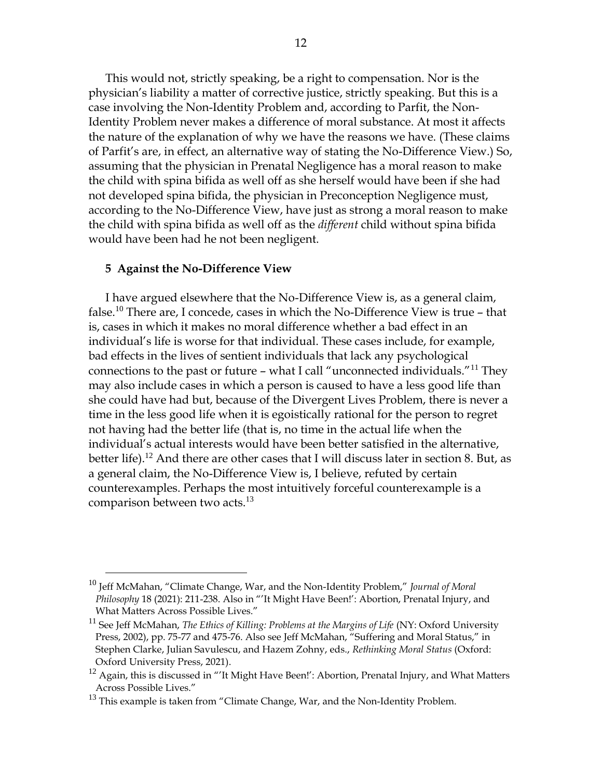This would not, strictly speaking, be a right to compensation. Nor is the physician's liability a matter of corrective justice, strictly speaking. But this is a case involving the Non-Identity Problem and, according to Parfit, the Non-Identity Problem never makes a difference of moral substance. At most it affects the nature of the explanation of why we have the reasons we have. (These claims of Parfit's are, in effect, an alternative way of stating the No-Difference View.) So, assuming that the physician in Prenatal Negligence has a moral reason to make the child with spina bifida as well off as she herself would have been if she had not developed spina bifida, the physician in Preconception Negligence must, according to the No-Difference View, have just as strong a moral reason to make the child with spina bifida as well off as the *different* child without spina bifida would have been had he not been negligent.

#### **5 Against the No-Difference View**

 $\overline{a}$ 

I have argued elsewhere that the No-Difference View is, as a general claim, false.<sup>10</sup> There are, I concede, cases in which the No-Difference View is true - that is, cases in which it makes no moral difference whether a bad effect in an individual's life is worse for that individual. These cases include, for example, bad effects in the lives of sentient individuals that lack any psychological connections to the past or future – what I call "unconnected individuals."<sup>11</sup> They may also include cases in which a person is caused to have a less good life than she could have had but, because of the Divergent Lives Problem, there is never a time in the less good life when it is egoistically rational for the person to regret not having had the better life (that is, no time in the actual life when the individual's actual interests would have been better satisfied in the alternative, better life).<sup>12</sup> And there are other cases that I will discuss later in section 8. But, as a general claim, the No-Difference View is, I believe, refuted by certain counterexamples. Perhaps the most intuitively forceful counterexample is a comparison between two acts.<sup>13</sup>

<sup>10</sup> Jeff McMahan, "Climate Change, War, and the Non-Identity Problem," *Journal of Moral Philosophy* 18 (2021): 211-238. Also in "'It Might Have Been!': Abortion, Prenatal Injury, and What Matters Across Possible Lives."

<sup>&</sup>lt;sup>11</sup> See Jeff McMahan, *The Ethics of Killing: Problems at the Margins of Life* (NY: Oxford University Press, 2002), pp. 75-77 and 475-76. Also see Jeff McMahan, "Suffering and Moral Status," in Stephen Clarke, Julian Savulescu, and Hazem Zohny, eds., *Rethinking Moral Status* (Oxford: Oxford University Press, 2021).

 $12$  Again, this is discussed in "'It Might Have Been!': Abortion, Prenatal Injury, and What Matters Across Possible Lives."

 $13$  This example is taken from "Climate Change, War, and the Non-Identity Problem.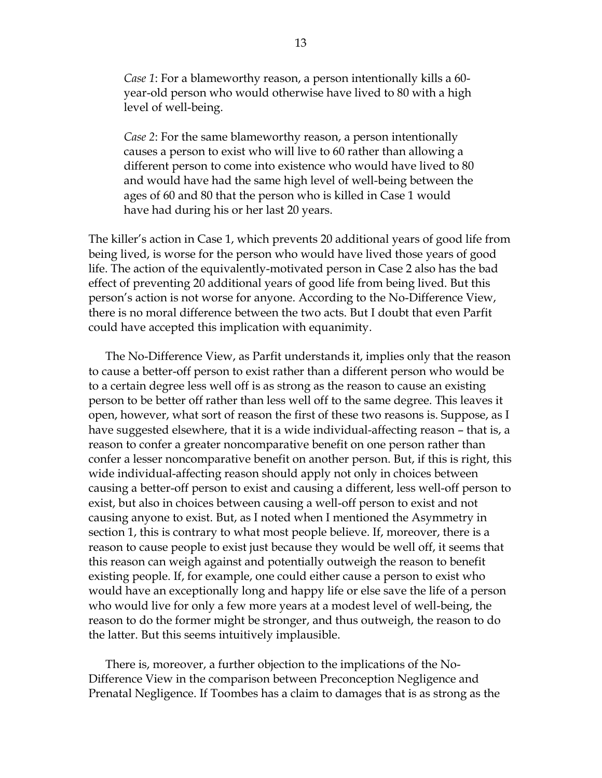*Case 1*: For a blameworthy reason, a person intentionally kills a 60 year-old person who would otherwise have lived to 80 with a high level of well-being.

*Case 2*: For the same blameworthy reason, a person intentionally causes a person to exist who will live to 60 rather than allowing a different person to come into existence who would have lived to 80 and would have had the same high level of well-being between the ages of 60 and 80 that the person who is killed in Case 1 would have had during his or her last 20 years.

The killer's action in Case 1, which prevents 20 additional years of good life from being lived, is worse for the person who would have lived those years of good life. The action of the equivalently-motivated person in Case 2 also has the bad effect of preventing 20 additional years of good life from being lived. But this person's action is not worse for anyone. According to the No-Difference View, there is no moral difference between the two acts. But I doubt that even Parfit could have accepted this implication with equanimity.

The No-Difference View, as Parfit understands it, implies only that the reason to cause a better-off person to exist rather than a different person who would be to a certain degree less well off is as strong as the reason to cause an existing person to be better off rather than less well off to the same degree. This leaves it open, however, what sort of reason the first of these two reasons is. Suppose, as I have suggested elsewhere, that it is a wide individual-affecting reason – that is, a reason to confer a greater noncomparative benefit on one person rather than confer a lesser noncomparative benefit on another person. But, if this is right, this wide individual-affecting reason should apply not only in choices between causing a better-off person to exist and causing a different, less well-off person to exist, but also in choices between causing a well-off person to exist and not causing anyone to exist. But, as I noted when I mentioned the Asymmetry in section 1, this is contrary to what most people believe. If, moreover, there is a reason to cause people to exist just because they would be well off, it seems that this reason can weigh against and potentially outweigh the reason to benefit existing people. If, for example, one could either cause a person to exist who would have an exceptionally long and happy life or else save the life of a person who would live for only a few more years at a modest level of well-being, the reason to do the former might be stronger, and thus outweigh, the reason to do the latter. But this seems intuitively implausible.

There is, moreover, a further objection to the implications of the No-Difference View in the comparison between Preconception Negligence and Prenatal Negligence. If Toombes has a claim to damages that is as strong as the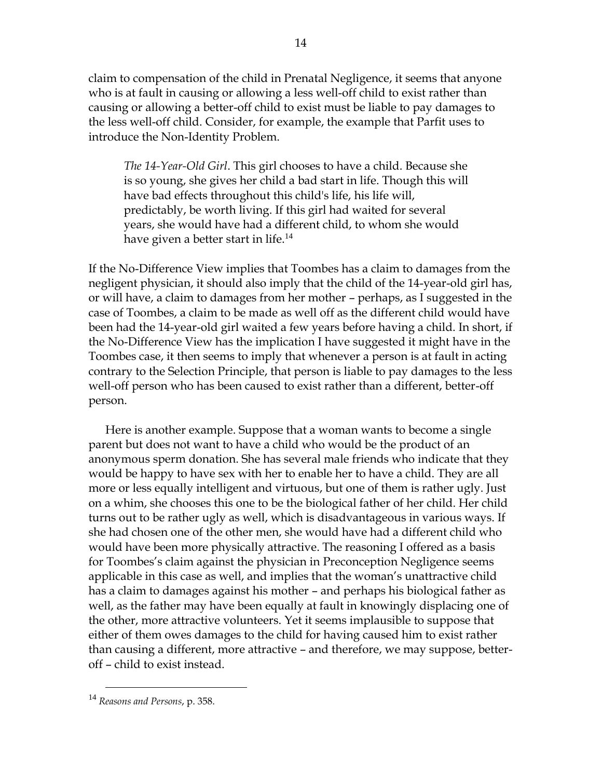claim to compensation of the child in Prenatal Negligence, it seems that anyone who is at fault in causing or allowing a less well-off child to exist rather than causing or allowing a better-off child to exist must be liable to pay damages to the less well-off child. Consider, for example, the example that Parfit uses to introduce the Non-Identity Problem.

*The 14-Year-Old Girl*. This girl chooses to have a child. Because she is so young, she gives her child a bad start in life. Though this will have bad effects throughout this child's life, his life will, predictably, be worth living. If this girl had waited for several years, she would have had a different child, to whom she would have given a better start in life.<sup>14</sup>

If the No-Difference View implies that Toombes has a claim to damages from the negligent physician, it should also imply that the child of the 14-year-old girl has, or will have, a claim to damages from her mother – perhaps, as I suggested in the case of Toombes, a claim to be made as well off as the different child would have been had the 14-year-old girl waited a few years before having a child. In short, if the No-Difference View has the implication I have suggested it might have in the Toombes case, it then seems to imply that whenever a person is at fault in acting contrary to the Selection Principle, that person is liable to pay damages to the less well-off person who has been caused to exist rather than a different, better-off person.

Here is another example. Suppose that a woman wants to become a single parent but does not want to have a child who would be the product of an anonymous sperm donation. She has several male friends who indicate that they would be happy to have sex with her to enable her to have a child. They are all more or less equally intelligent and virtuous, but one of them is rather ugly. Just on a whim, she chooses this one to be the biological father of her child. Her child turns out to be rather ugly as well, which is disadvantageous in various ways. If she had chosen one of the other men, she would have had a different child who would have been more physically attractive. The reasoning I offered as a basis for Toombes's claim against the physician in Preconception Negligence seems applicable in this case as well, and implies that the woman's unattractive child has a claim to damages against his mother – and perhaps his biological father as well, as the father may have been equally at fault in knowingly displacing one of the other, more attractive volunteers. Yet it seems implausible to suppose that either of them owes damages to the child for having caused him to exist rather than causing a different, more attractive – and therefore, we may suppose, betteroff – child to exist instead.

<sup>14</sup> *Reasons and Persons*, p. 358.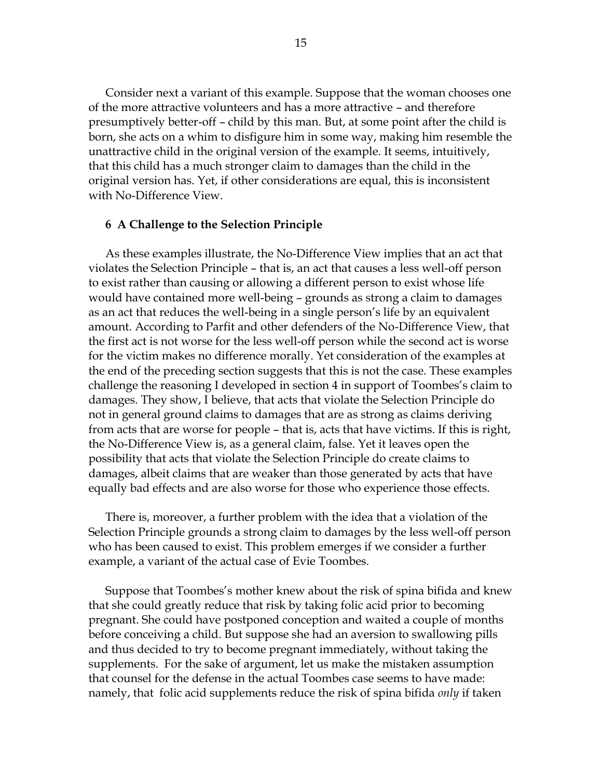Consider next a variant of this example. Suppose that the woman chooses one of the more attractive volunteers and has a more attractive – and therefore presumptively better-off – child by this man. But, at some point after the child is born, she acts on a whim to disfigure him in some way, making him resemble the unattractive child in the original version of the example. It seems, intuitively, that this child has a much stronger claim to damages than the child in the original version has. Yet, if other considerations are equal, this is inconsistent with No-Difference View.

#### **6 A Challenge to the Selection Principle**

As these examples illustrate, the No-Difference View implies that an act that violates the Selection Principle – that is, an act that causes a less well-off person to exist rather than causing or allowing a different person to exist whose life would have contained more well-being – grounds as strong a claim to damages as an act that reduces the well-being in a single person's life by an equivalent amount. According to Parfit and other defenders of the No-Difference View, that the first act is not worse for the less well-off person while the second act is worse for the victim makes no difference morally. Yet consideration of the examples at the end of the preceding section suggests that this is not the case. These examples challenge the reasoning I developed in section 4 in support of Toombes's claim to damages. They show, I believe, that acts that violate the Selection Principle do not in general ground claims to damages that are as strong as claims deriving from acts that are worse for people – that is, acts that have victims. If this is right, the No-Difference View is, as a general claim, false. Yet it leaves open the possibility that acts that violate the Selection Principle do create claims to damages, albeit claims that are weaker than those generated by acts that have equally bad effects and are also worse for those who experience those effects.

There is, moreover, a further problem with the idea that a violation of the Selection Principle grounds a strong claim to damages by the less well-off person who has been caused to exist. This problem emerges if we consider a further example, a variant of the actual case of Evie Toombes.

Suppose that Toombes's mother knew about the risk of spina bifida and knew that she could greatly reduce that risk by taking folic acid prior to becoming pregnant. She could have postponed conception and waited a couple of months before conceiving a child. But suppose she had an aversion to swallowing pills and thus decided to try to become pregnant immediately, without taking the supplements. For the sake of argument, let us make the mistaken assumption that counsel for the defense in the actual Toombes case seems to have made: namely, that folic acid supplements reduce the risk of spina bifida *only* if taken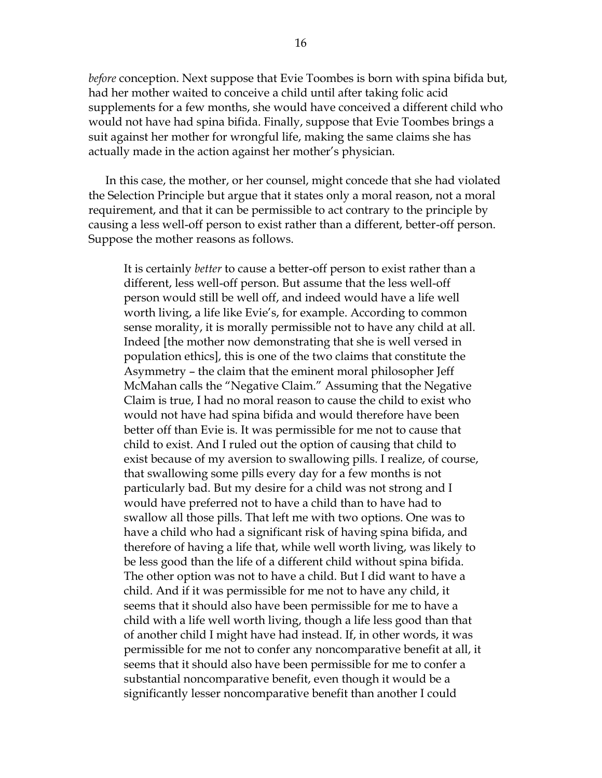*before* conception. Next suppose that Evie Toombes is born with spina bifida but, had her mother waited to conceive a child until after taking folic acid supplements for a few months, she would have conceived a different child who would not have had spina bifida. Finally, suppose that Evie Toombes brings a suit against her mother for wrongful life, making the same claims she has actually made in the action against her mother's physician.

In this case, the mother, or her counsel, might concede that she had violated the Selection Principle but argue that it states only a moral reason, not a moral requirement, and that it can be permissible to act contrary to the principle by causing a less well-off person to exist rather than a different, better-off person. Suppose the mother reasons as follows.

It is certainly *better* to cause a better-off person to exist rather than a different, less well-off person. But assume that the less well-off person would still be well off, and indeed would have a life well worth living, a life like Evie's, for example. According to common sense morality, it is morally permissible not to have any child at all. Indeed [the mother now demonstrating that she is well versed in population ethics], this is one of the two claims that constitute the Asymmetry – the claim that the eminent moral philosopher Jeff McMahan calls the "Negative Claim." Assuming that the Negative Claim is true, I had no moral reason to cause the child to exist who would not have had spina bifida and would therefore have been better off than Evie is. It was permissible for me not to cause that child to exist. And I ruled out the option of causing that child to exist because of my aversion to swallowing pills. I realize, of course, that swallowing some pills every day for a few months is not particularly bad. But my desire for a child was not strong and I would have preferred not to have a child than to have had to swallow all those pills. That left me with two options. One was to have a child who had a significant risk of having spina bifida, and therefore of having a life that, while well worth living, was likely to be less good than the life of a different child without spina bifida. The other option was not to have a child. But I did want to have a child. And if it was permissible for me not to have any child, it seems that it should also have been permissible for me to have a child with a life well worth living, though a life less good than that of another child I might have had instead. If, in other words, it was permissible for me not to confer any noncomparative benefit at all, it seems that it should also have been permissible for me to confer a substantial noncomparative benefit, even though it would be a significantly lesser noncomparative benefit than another I could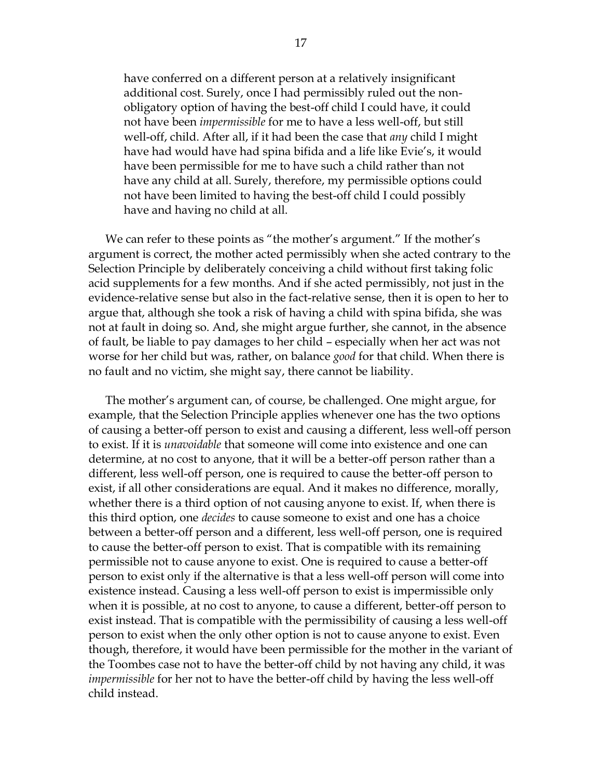have conferred on a different person at a relatively insignificant additional cost. Surely, once I had permissibly ruled out the nonobligatory option of having the best-off child I could have, it could not have been *impermissible* for me to have a less well-off, but still well-off, child. After all, if it had been the case that *any* child I might have had would have had spina bifida and a life like Evie's, it would have been permissible for me to have such a child rather than not have any child at all. Surely, therefore, my permissible options could not have been limited to having the best-off child I could possibly have and having no child at all.

We can refer to these points as "the mother's argument." If the mother's argument is correct, the mother acted permissibly when she acted contrary to the Selection Principle by deliberately conceiving a child without first taking folic acid supplements for a few months. And if she acted permissibly, not just in the evidence-relative sense but also in the fact-relative sense, then it is open to her to argue that, although she took a risk of having a child with spina bifida, she was not at fault in doing so. And, she might argue further, she cannot, in the absence of fault, be liable to pay damages to her child – especially when her act was not worse for her child but was, rather, on balance *good* for that child. When there is no fault and no victim, she might say, there cannot be liability.

The mother's argument can, of course, be challenged. One might argue, for example, that the Selection Principle applies whenever one has the two options of causing a better-off person to exist and causing a different, less well-off person to exist. If it is *unavoidable* that someone will come into existence and one can determine, at no cost to anyone, that it will be a better-off person rather than a different, less well-off person, one is required to cause the better-off person to exist, if all other considerations are equal. And it makes no difference, morally, whether there is a third option of not causing anyone to exist. If, when there is this third option, one *decides* to cause someone to exist and one has a choice between a better-off person and a different, less well-off person, one is required to cause the better-off person to exist. That is compatible with its remaining permissible not to cause anyone to exist. One is required to cause a better-off person to exist only if the alternative is that a less well-off person will come into existence instead. Causing a less well-off person to exist is impermissible only when it is possible, at no cost to anyone, to cause a different, better-off person to exist instead. That is compatible with the permissibility of causing a less well-off person to exist when the only other option is not to cause anyone to exist. Even though, therefore, it would have been permissible for the mother in the variant of the Toombes case not to have the better-off child by not having any child, it was *impermissible* for her not to have the better-off child by having the less well-off child instead.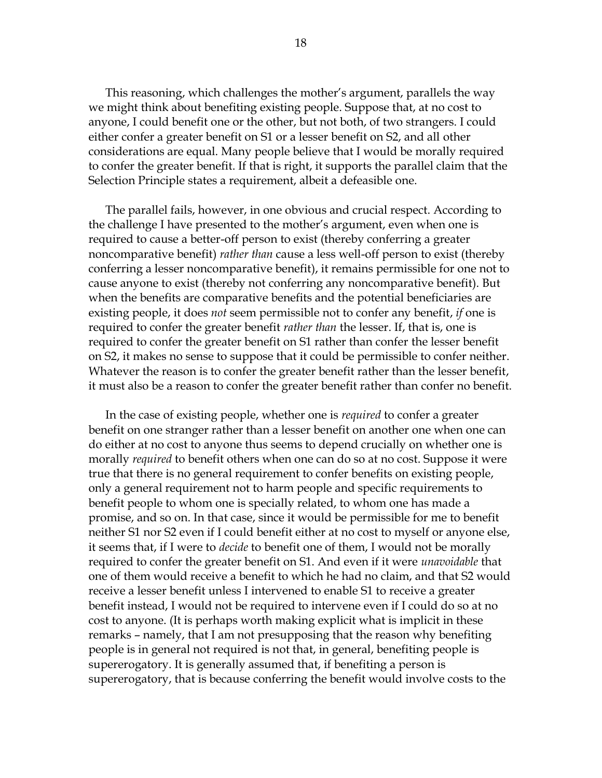This reasoning, which challenges the mother's argument, parallels the way we might think about benefiting existing people. Suppose that, at no cost to anyone, I could benefit one or the other, but not both, of two strangers. I could either confer a greater benefit on S1 or a lesser benefit on S2, and all other considerations are equal. Many people believe that I would be morally required to confer the greater benefit. If that is right, it supports the parallel claim that the Selection Principle states a requirement, albeit a defeasible one.

The parallel fails, however, in one obvious and crucial respect. According to the challenge I have presented to the mother's argument, even when one is required to cause a better-off person to exist (thereby conferring a greater noncomparative benefit) *rather than* cause a less well-off person to exist (thereby conferring a lesser noncomparative benefit), it remains permissible for one not to cause anyone to exist (thereby not conferring any noncomparative benefit). But when the benefits are comparative benefits and the potential beneficiaries are existing people, it does *not* seem permissible not to confer any benefit, *if* one is required to confer the greater benefit *rather than* the lesser. If, that is, one is required to confer the greater benefit on S1 rather than confer the lesser benefit on S2, it makes no sense to suppose that it could be permissible to confer neither. Whatever the reason is to confer the greater benefit rather than the lesser benefit, it must also be a reason to confer the greater benefit rather than confer no benefit.

In the case of existing people, whether one is *required* to confer a greater benefit on one stranger rather than a lesser benefit on another one when one can do either at no cost to anyone thus seems to depend crucially on whether one is morally *required* to benefit others when one can do so at no cost. Suppose it were true that there is no general requirement to confer benefits on existing people, only a general requirement not to harm people and specific requirements to benefit people to whom one is specially related, to whom one has made a promise, and so on. In that case, since it would be permissible for me to benefit neither S1 nor S2 even if I could benefit either at no cost to myself or anyone else, it seems that, if I were to *decide* to benefit one of them, I would not be morally required to confer the greater benefit on S1. And even if it were *unavoidable* that one of them would receive a benefit to which he had no claim, and that S2 would receive a lesser benefit unless I intervened to enable S1 to receive a greater benefit instead, I would not be required to intervene even if I could do so at no cost to anyone. (It is perhaps worth making explicit what is implicit in these remarks – namely, that I am not presupposing that the reason why benefiting people is in general not required is not that, in general, benefiting people is supererogatory. It is generally assumed that, if benefiting a person is supererogatory, that is because conferring the benefit would involve costs to the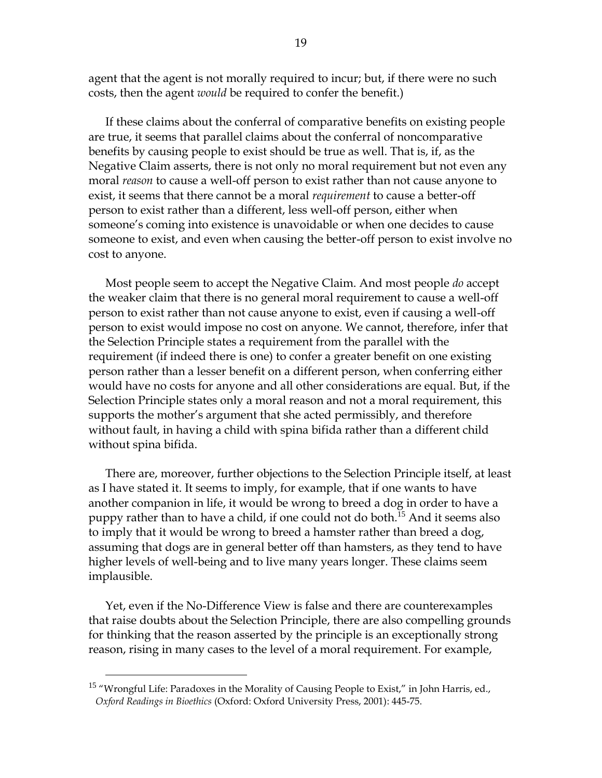agent that the agent is not morally required to incur; but, if there were no such costs, then the agent *would* be required to confer the benefit.)

If these claims about the conferral of comparative benefits on existing people are true, it seems that parallel claims about the conferral of noncomparative benefits by causing people to exist should be true as well. That is, if, as the Negative Claim asserts, there is not only no moral requirement but not even any moral *reason* to cause a well-off person to exist rather than not cause anyone to exist, it seems that there cannot be a moral *requirement* to cause a better-off person to exist rather than a different, less well-off person, either when someone's coming into existence is unavoidable or when one decides to cause someone to exist, and even when causing the better-off person to exist involve no cost to anyone.

Most people seem to accept the Negative Claim. And most people *do* accept the weaker claim that there is no general moral requirement to cause a well-off person to exist rather than not cause anyone to exist, even if causing a well-off person to exist would impose no cost on anyone. We cannot, therefore, infer that the Selection Principle states a requirement from the parallel with the requirement (if indeed there is one) to confer a greater benefit on one existing person rather than a lesser benefit on a different person, when conferring either would have no costs for anyone and all other considerations are equal. But, if the Selection Principle states only a moral reason and not a moral requirement, this supports the mother's argument that she acted permissibly, and therefore without fault, in having a child with spina bifida rather than a different child without spina bifida.

There are, moreover, further objections to the Selection Principle itself, at least as I have stated it. It seems to imply, for example, that if one wants to have another companion in life, it would be wrong to breed a dog in order to have a puppy rather than to have a child, if one could not do both.<sup>15</sup> And it seems also to imply that it would be wrong to breed a hamster rather than breed a dog, assuming that dogs are in general better off than hamsters, as they tend to have higher levels of well-being and to live many years longer. These claims seem implausible.

Yet, even if the No-Difference View is false and there are counterexamples that raise doubts about the Selection Principle, there are also compelling grounds for thinking that the reason asserted by the principle is an exceptionally strong reason, rising in many cases to the level of a moral requirement. For example,

<sup>&</sup>lt;sup>15</sup> "Wrongful Life: Paradoxes in the Morality of Causing People to Exist," in John Harris, ed., *Oxford Readings in Bioethics* (Oxford: Oxford University Press, 2001): 445-75.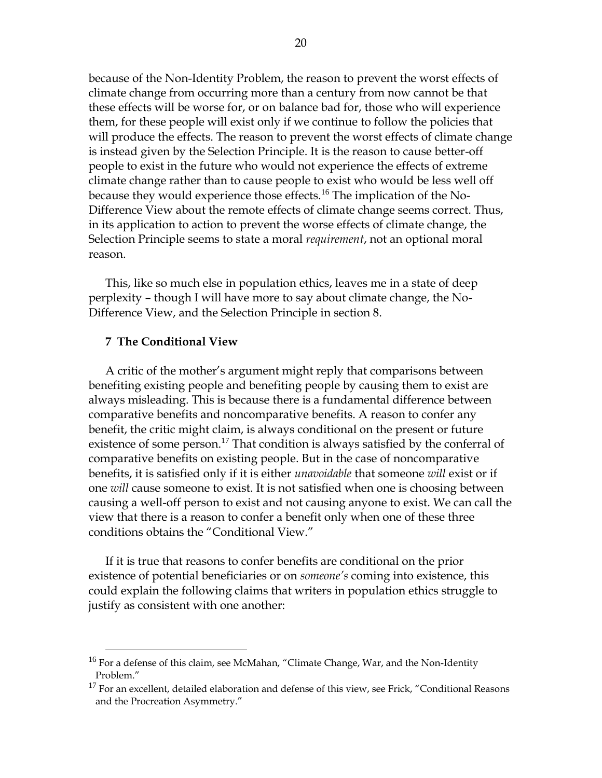because of the Non-Identity Problem, the reason to prevent the worst effects of climate change from occurring more than a century from now cannot be that these effects will be worse for, or on balance bad for, those who will experience them, for these people will exist only if we continue to follow the policies that will produce the effects. The reason to prevent the worst effects of climate change is instead given by the Selection Principle. It is the reason to cause better-off people to exist in the future who would not experience the effects of extreme climate change rather than to cause people to exist who would be less well off because they would experience those effects.<sup>16</sup> The implication of the No-Difference View about the remote effects of climate change seems correct. Thus, in its application to action to prevent the worse effects of climate change, the Selection Principle seems to state a moral *requirement*, not an optional moral reason.

This, like so much else in population ethics, leaves me in a state of deep perplexity – though I will have more to say about climate change, the No-Difference View, and the Selection Principle in section 8.

#### **7 The Conditional View**

 $\overline{a}$ 

A critic of the mother's argument might reply that comparisons between benefiting existing people and benefiting people by causing them to exist are always misleading. This is because there is a fundamental difference between comparative benefits and noncomparative benefits. A reason to confer any benefit, the critic might claim, is always conditional on the present or future existence of some person.<sup>17</sup> That condition is always satisfied by the conferral of comparative benefits on existing people. But in the case of noncomparative benefits, it is satisfied only if it is either *unavoidable* that someone *will* exist or if one *will* cause someone to exist. It is not satisfied when one is choosing between causing a well-off person to exist and not causing anyone to exist. We can call the view that there is a reason to confer a benefit only when one of these three conditions obtains the "Conditional View."

If it is true that reasons to confer benefits are conditional on the prior existence of potential beneficiaries or on *someone's* coming into existence, this could explain the following claims that writers in population ethics struggle to justify as consistent with one another:

 $16$  For a defense of this claim, see McMahan, "Climate Change, War, and the Non-Identity Problem."

 $17$  For an excellent, detailed elaboration and defense of this view, see Frick, "Conditional Reasons and the Procreation Asymmetry."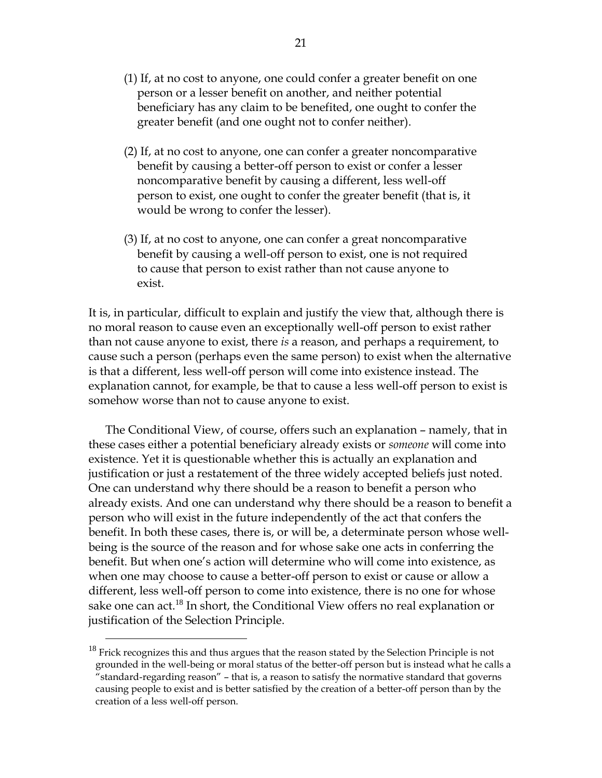- (1) If, at no cost to anyone, one could confer a greater benefit on one person or a lesser benefit on another, and neither potential beneficiary has any claim to be benefited, one ought to confer the greater benefit (and one ought not to confer neither).
- (2) If, at no cost to anyone, one can confer a greater noncomparative benefit by causing a better-off person to exist or confer a lesser noncomparative benefit by causing a different, less well-off person to exist, one ought to confer the greater benefit (that is, it would be wrong to confer the lesser).
- (3) If, at no cost to anyone, one can confer a great noncomparative benefit by causing a well-off person to exist, one is not required to cause that person to exist rather than not cause anyone to exist.

It is, in particular, difficult to explain and justify the view that, although there is no moral reason to cause even an exceptionally well-off person to exist rather than not cause anyone to exist, there *is* a reason, and perhaps a requirement, to cause such a person (perhaps even the same person) to exist when the alternative is that a different, less well-off person will come into existence instead. The explanation cannot, for example, be that to cause a less well-off person to exist is somehow worse than not to cause anyone to exist.

The Conditional View, of course, offers such an explanation – namely, that in these cases either a potential beneficiary already exists or *someone* will come into existence. Yet it is questionable whether this is actually an explanation and justification or just a restatement of the three widely accepted beliefs just noted. One can understand why there should be a reason to benefit a person who already exists. And one can understand why there should be a reason to benefit a person who will exist in the future independently of the act that confers the benefit. In both these cases, there is, or will be, a determinate person whose wellbeing is the source of the reason and for whose sake one acts in conferring the benefit. But when one's action will determine who will come into existence, as when one may choose to cause a better-off person to exist or cause or allow a different, less well-off person to come into existence, there is no one for whose sake one can act.<sup>18</sup> In short, the Conditional View offers no real explanation or justification of the Selection Principle.

 $18$  Frick recognizes this and thus argues that the reason stated by the Selection Principle is not grounded in the well-being or moral status of the better-off person but is instead what he calls a "standard-regarding reason" – that is, a reason to satisfy the normative standard that governs causing people to exist and is better satisfied by the creation of a better-off person than by the creation of a less well-off person.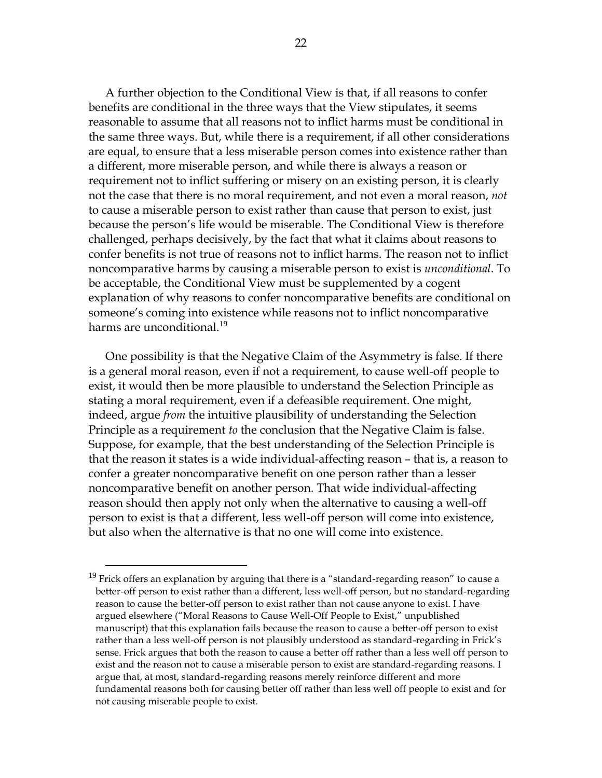A further objection to the Conditional View is that, if all reasons to confer benefits are conditional in the three ways that the View stipulates, it seems reasonable to assume that all reasons not to inflict harms must be conditional in the same three ways. But, while there is a requirement, if all other considerations are equal, to ensure that a less miserable person comes into existence rather than a different, more miserable person, and while there is always a reason or requirement not to inflict suffering or misery on an existing person, it is clearly not the case that there is no moral requirement, and not even a moral reason, *not* to cause a miserable person to exist rather than cause that person to exist, just because the person's life would be miserable. The Conditional View is therefore challenged, perhaps decisively, by the fact that what it claims about reasons to confer benefits is not true of reasons not to inflict harms. The reason not to inflict noncomparative harms by causing a miserable person to exist is *unconditional*. To be acceptable, the Conditional View must be supplemented by a cogent explanation of why reasons to confer noncomparative benefits are conditional on someone's coming into existence while reasons not to inflict noncomparative harms are unconditional.<sup>19</sup>

One possibility is that the Negative Claim of the Asymmetry is false. If there is a general moral reason, even if not a requirement, to cause well-off people to exist, it would then be more plausible to understand the Selection Principle as stating a moral requirement, even if a defeasible requirement. One might, indeed, argue *from* the intuitive plausibility of understanding the Selection Principle as a requirement *to* the conclusion that the Negative Claim is false. Suppose, for example, that the best understanding of the Selection Principle is that the reason it states is a wide individual-affecting reason – that is, a reason to confer a greater noncomparative benefit on one person rather than a lesser noncomparative benefit on another person. That wide individual-affecting reason should then apply not only when the alternative to causing a well-off person to exist is that a different, less well-off person will come into existence, but also when the alternative is that no one will come into existence.

 $^{19}$  Frick offers an explanation by arguing that there is a "standard-regarding reason" to cause a better-off person to exist rather than a different, less well-off person, but no standard-regarding reason to cause the better-off person to exist rather than not cause anyone to exist. I have argued elsewhere ("Moral Reasons to Cause Well-Off People to Exist," unpublished manuscript) that this explanation fails because the reason to cause a better-off person to exist rather than a less well-off person is not plausibly understood as standard-regarding in Frick's sense. Frick argues that both the reason to cause a better off rather than a less well off person to exist and the reason not to cause a miserable person to exist are standard-regarding reasons. I argue that, at most, standard-regarding reasons merely reinforce different and more fundamental reasons both for causing better off rather than less well off people to exist and for not causing miserable people to exist.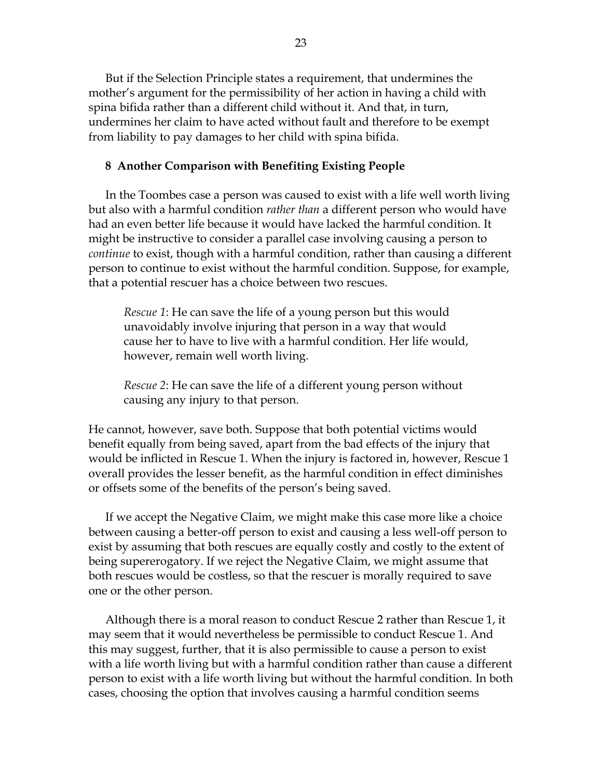But if the Selection Principle states a requirement, that undermines the mother's argument for the permissibility of her action in having a child with spina bifida rather than a different child without it. And that, in turn, undermines her claim to have acted without fault and therefore to be exempt from liability to pay damages to her child with spina bifida.

#### **8 Another Comparison with Benefiting Existing People**

In the Toombes case a person was caused to exist with a life well worth living but also with a harmful condition *rather than* a different person who would have had an even better life because it would have lacked the harmful condition. It might be instructive to consider a parallel case involving causing a person to *continue* to exist, though with a harmful condition, rather than causing a different person to continue to exist without the harmful condition. Suppose, for example, that a potential rescuer has a choice between two rescues.

*Rescue 1*: He can save the life of a young person but this would unavoidably involve injuring that person in a way that would cause her to have to live with a harmful condition. Her life would, however, remain well worth living.

*Rescue 2*: He can save the life of a different young person without causing any injury to that person.

He cannot, however, save both. Suppose that both potential victims would benefit equally from being saved, apart from the bad effects of the injury that would be inflicted in Rescue 1. When the injury is factored in, however, Rescue 1 overall provides the lesser benefit, as the harmful condition in effect diminishes or offsets some of the benefits of the person's being saved.

If we accept the Negative Claim, we might make this case more like a choice between causing a better-off person to exist and causing a less well-off person to exist by assuming that both rescues are equally costly and costly to the extent of being supererogatory. If we reject the Negative Claim, we might assume that both rescues would be costless, so that the rescuer is morally required to save one or the other person.

Although there is a moral reason to conduct Rescue 2 rather than Rescue 1, it may seem that it would nevertheless be permissible to conduct Rescue 1. And this may suggest, further, that it is also permissible to cause a person to exist with a life worth living but with a harmful condition rather than cause a different person to exist with a life worth living but without the harmful condition. In both cases, choosing the option that involves causing a harmful condition seems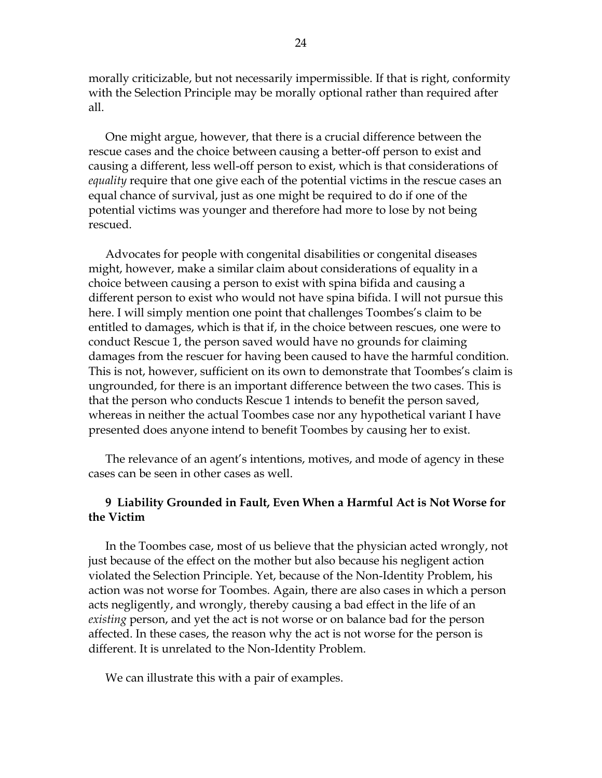morally criticizable, but not necessarily impermissible. If that is right, conformity with the Selection Principle may be morally optional rather than required after all.

One might argue, however, that there is a crucial difference between the rescue cases and the choice between causing a better-off person to exist and causing a different, less well-off person to exist, which is that considerations of *equality* require that one give each of the potential victims in the rescue cases an equal chance of survival, just as one might be required to do if one of the potential victims was younger and therefore had more to lose by not being rescued.

Advocates for people with congenital disabilities or congenital diseases might, however, make a similar claim about considerations of equality in a choice between causing a person to exist with spina bifida and causing a different person to exist who would not have spina bifida. I will not pursue this here. I will simply mention one point that challenges Toombes's claim to be entitled to damages, which is that if, in the choice between rescues, one were to conduct Rescue 1, the person saved would have no grounds for claiming damages from the rescuer for having been caused to have the harmful condition. This is not, however, sufficient on its own to demonstrate that Toombes's claim is ungrounded, for there is an important difference between the two cases. This is that the person who conducts Rescue 1 intends to benefit the person saved, whereas in neither the actual Toombes case nor any hypothetical variant I have presented does anyone intend to benefit Toombes by causing her to exist.

The relevance of an agent's intentions, motives, and mode of agency in these cases can be seen in other cases as well.

## **9 Liability Grounded in Fault, Even When a Harmful Act is Not Worse for the Victim**

In the Toombes case, most of us believe that the physician acted wrongly, not just because of the effect on the mother but also because his negligent action violated the Selection Principle. Yet, because of the Non-Identity Problem, his action was not worse for Toombes. Again, there are also cases in which a person acts negligently, and wrongly, thereby causing a bad effect in the life of an *existing* person, and yet the act is not worse or on balance bad for the person affected. In these cases, the reason why the act is not worse for the person is different. It is unrelated to the Non-Identity Problem.

We can illustrate this with a pair of examples.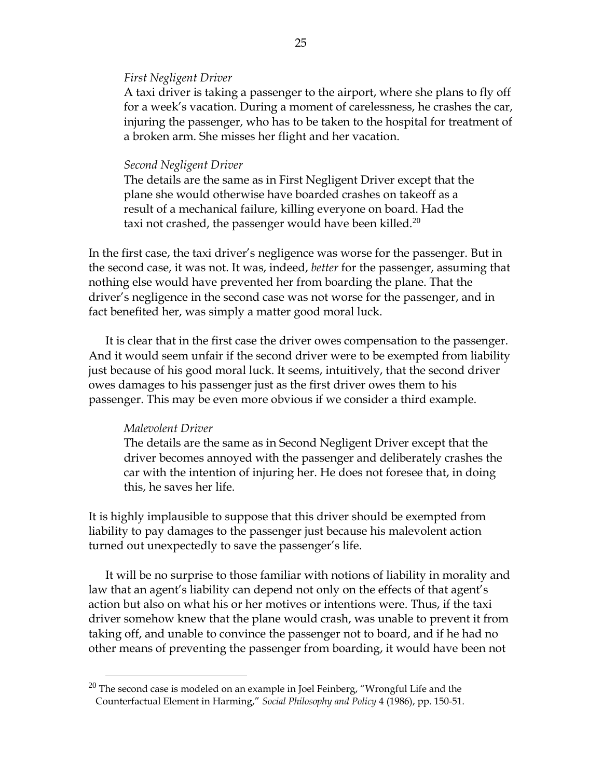#### *First Negligent Driver*

A taxi driver is taking a passenger to the airport, where she plans to fly off for a week's vacation. During a moment of carelessness, he crashes the car, injuring the passenger, who has to be taken to the hospital for treatment of a broken arm. She misses her flight and her vacation.

#### *Second Negligent Driver*

The details are the same as in First Negligent Driver except that the plane she would otherwise have boarded crashes on takeoff as a result of a mechanical failure, killing everyone on board. Had the taxi not crashed, the passenger would have been killed.<sup>20</sup>

In the first case, the taxi driver's negligence was worse for the passenger. But in the second case, it was not. It was, indeed, *better* for the passenger, assuming that nothing else would have prevented her from boarding the plane. That the driver's negligence in the second case was not worse for the passenger, and in fact benefited her, was simply a matter good moral luck.

It is clear that in the first case the driver owes compensation to the passenger. And it would seem unfair if the second driver were to be exempted from liability just because of his good moral luck. It seems, intuitively, that the second driver owes damages to his passenger just as the first driver owes them to his passenger. This may be even more obvious if we consider a third example.

### *Malevolent Driver*

 $\overline{a}$ 

The details are the same as in Second Negligent Driver except that the driver becomes annoyed with the passenger and deliberately crashes the car with the intention of injuring her. He does not foresee that, in doing this, he saves her life.

It is highly implausible to suppose that this driver should be exempted from liability to pay damages to the passenger just because his malevolent action turned out unexpectedly to save the passenger's life.

It will be no surprise to those familiar with notions of liability in morality and law that an agent's liability can depend not only on the effects of that agent's action but also on what his or her motives or intentions were. Thus, if the taxi driver somehow knew that the plane would crash, was unable to prevent it from taking off, and unable to convince the passenger not to board, and if he had no other means of preventing the passenger from boarding, it would have been not

 $20$  The second case is modeled on an example in Joel Feinberg, "Wrongful Life and the Counterfactual Element in Harming," *Social Philosophy and Policy* 4 (1986), pp. 150-51.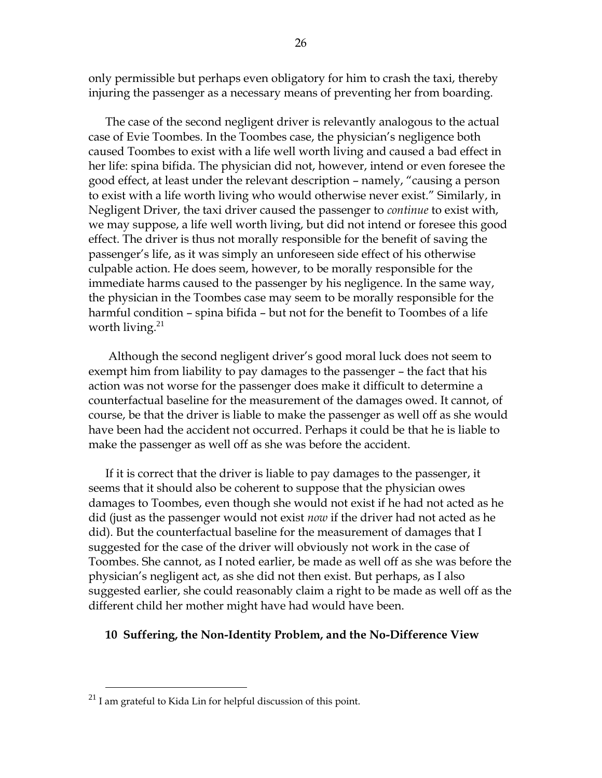only permissible but perhaps even obligatory for him to crash the taxi, thereby injuring the passenger as a necessary means of preventing her from boarding.

The case of the second negligent driver is relevantly analogous to the actual case of Evie Toombes. In the Toombes case, the physician's negligence both caused Toombes to exist with a life well worth living and caused a bad effect in her life: spina bifida. The physician did not, however, intend or even foresee the good effect, at least under the relevant description – namely, "causing a person to exist with a life worth living who would otherwise never exist." Similarly, in Negligent Driver, the taxi driver caused the passenger to *continue* to exist with, we may suppose, a life well worth living, but did not intend or foresee this good effect. The driver is thus not morally responsible for the benefit of saving the passenger's life, as it was simply an unforeseen side effect of his otherwise culpable action. He does seem, however, to be morally responsible for the immediate harms caused to the passenger by his negligence. In the same way, the physician in the Toombes case may seem to be morally responsible for the harmful condition – spina bifida – but not for the benefit to Toombes of a life worth living. $21$ 

Although the second negligent driver's good moral luck does not seem to exempt him from liability to pay damages to the passenger – the fact that his action was not worse for the passenger does make it difficult to determine a counterfactual baseline for the measurement of the damages owed. It cannot, of course, be that the driver is liable to make the passenger as well off as she would have been had the accident not occurred. Perhaps it could be that he is liable to make the passenger as well off as she was before the accident.

If it is correct that the driver is liable to pay damages to the passenger, it seems that it should also be coherent to suppose that the physician owes damages to Toombes, even though she would not exist if he had not acted as he did (just as the passenger would not exist *now* if the driver had not acted as he did). But the counterfactual baseline for the measurement of damages that I suggested for the case of the driver will obviously not work in the case of Toombes. She cannot, as I noted earlier, be made as well off as she was before the physician's negligent act, as she did not then exist. But perhaps, as I also suggested earlier, she could reasonably claim a right to be made as well off as the different child her mother might have had would have been.

## **10 Suffering, the Non-Identity Problem, and the No-Difference View**

 $^{21}$  I am grateful to Kida Lin for helpful discussion of this point.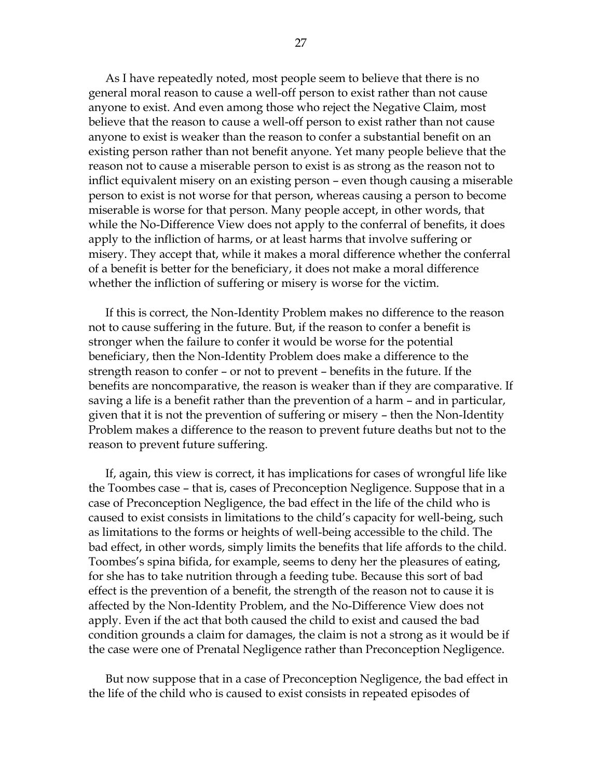As I have repeatedly noted, most people seem to believe that there is no general moral reason to cause a well-off person to exist rather than not cause anyone to exist. And even among those who reject the Negative Claim, most believe that the reason to cause a well-off person to exist rather than not cause anyone to exist is weaker than the reason to confer a substantial benefit on an existing person rather than not benefit anyone. Yet many people believe that the reason not to cause a miserable person to exist is as strong as the reason not to inflict equivalent misery on an existing person – even though causing a miserable person to exist is not worse for that person, whereas causing a person to become miserable is worse for that person. Many people accept, in other words, that while the No-Difference View does not apply to the conferral of benefits, it does apply to the infliction of harms, or at least harms that involve suffering or misery. They accept that, while it makes a moral difference whether the conferral of a benefit is better for the beneficiary, it does not make a moral difference whether the infliction of suffering or misery is worse for the victim.

If this is correct, the Non-Identity Problem makes no difference to the reason not to cause suffering in the future. But, if the reason to confer a benefit is stronger when the failure to confer it would be worse for the potential beneficiary, then the Non-Identity Problem does make a difference to the strength reason to confer – or not to prevent – benefits in the future. If the benefits are noncomparative, the reason is weaker than if they are comparative. If saving a life is a benefit rather than the prevention of a harm – and in particular, given that it is not the prevention of suffering or misery – then the Non-Identity Problem makes a difference to the reason to prevent future deaths but not to the reason to prevent future suffering.

If, again, this view is correct, it has implications for cases of wrongful life like the Toombes case – that is, cases of Preconception Negligence. Suppose that in a case of Preconception Negligence, the bad effect in the life of the child who is caused to exist consists in limitations to the child's capacity for well-being, such as limitations to the forms or heights of well-being accessible to the child. The bad effect, in other words, simply limits the benefits that life affords to the child. Toombes's spina bifida, for example, seems to deny her the pleasures of eating, for she has to take nutrition through a feeding tube. Because this sort of bad effect is the prevention of a benefit, the strength of the reason not to cause it is affected by the Non-Identity Problem, and the No-Difference View does not apply. Even if the act that both caused the child to exist and caused the bad condition grounds a claim for damages, the claim is not a strong as it would be if the case were one of Prenatal Negligence rather than Preconception Negligence.

But now suppose that in a case of Preconception Negligence, the bad effect in the life of the child who is caused to exist consists in repeated episodes of